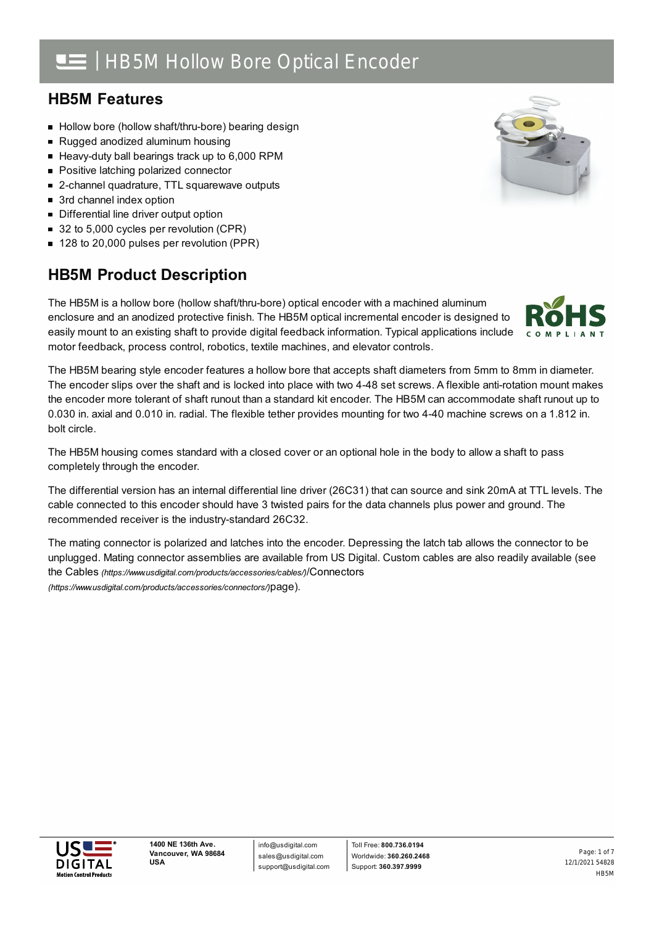# | HB5M Hollow Bore Optical Encoder

### **HB5M Features**

- Hollow bore (hollow shaft/thru-bore) bearing design
- Rugged anodized aluminum housing
- Heavy-duty ball bearings track up to 6,000 RPM
- **Positive latching polarized connector**
- 2-channel quadrature, TTL squarewave outputs
- 3rd channel index option
- **Differential line driver output option**
- 32 to 5,000 cycles per revolution (CPR)
- 128 to 20,000 pulses per revolution (PPR)

# **HB5M Product Description**

The HB5M is a hollow bore (hollow shaft/thru-bore) optical encoder with a machined aluminum enclosure and an anodized protective finish. The HB5M optical incremental encoder is designed to easily mount to an existing shaft to provide digital feedback information. Typical applications include motor feedback, process control, robotics, textile machines, and elevator controls.

The HB5M bearing style encoder features a hollow bore that accepts shaft diameters from 5mm to 8mm in diameter. The encoder slips over the shaft and is locked into place with two 4-48 set screws. A flexible anti-rotation mount makes the encoder more tolerant of shaft runout than a standard kit encoder. The HB5M can accommodate shaft runout up to 0.030 in. axial and 0.010 in. radial. The flexible tether provides mounting for two 4-40 machine screws on a 1.812 in. bolt circle.

The HB5M housing comes standard with a closed cover or an optional hole in the body to allow a shaft to pass completely through the encoder.

The differential version has an internal differential line driver (26C31) that can source and sink 20mA at TTL levels. The cable connected to this encoder should have 3 twisted pairs for the data channels plus power and ground. The recommended receiver is the industry-standard 26C32.

The mating connector is polarized and latches into the encoder. Depressing the latch tab allows the connector to be unplugged. Mating connector assemblies are available from US Digital. Custom cables are also readily available (see the Cables *[\(https://www.usdigital.com/products/accessories/cables/\)](https://www.usdigital.com/products/accessories/cables/)*/Connectors *(https://www.usdigital.com/products/accessories/connectors/)*page).



info@usdigital.com sales@usdigital.com support@usdigital.com



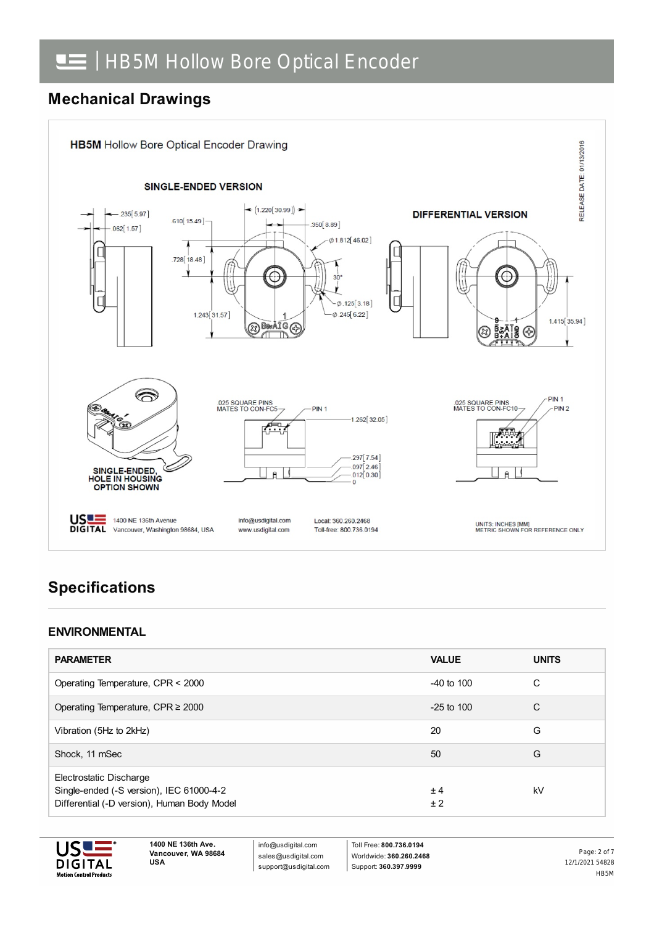## **Mechanical Drawings**



# **Specifications**

#### **ENVIRONMENTAL**

| <b>PARAMETER</b>                                                                                                   | <b>VALUE</b>   | <b>UNITS</b> |
|--------------------------------------------------------------------------------------------------------------------|----------------|--------------|
| Operating Temperature, CPR < 2000                                                                                  | $-40$ to $100$ | C            |
| Operating Temperature, CPR $\geq$ 2000                                                                             | $-25$ to 100   | C            |
| Vibration (5Hz to 2kHz)                                                                                            | 20             | G            |
| Shock, 11 mSec                                                                                                     | 50             | G            |
| Electrostatic Discharge<br>Single-ended (-S version), IEC 61000-4-2<br>Differential (-D version), Human Body Model | ±4<br>± 2      | kV           |



**1400 NE 136th Ave. Vancouver, WA 98684 USA**

info@usdigital.com sales@usdigital.com support@usdigital.com

Toll Free: **800.736.0194** Worldwide: **360.260.2468** Support: **360.397.9999**

12/1/2021 54828 HB5M Page: 2 of 7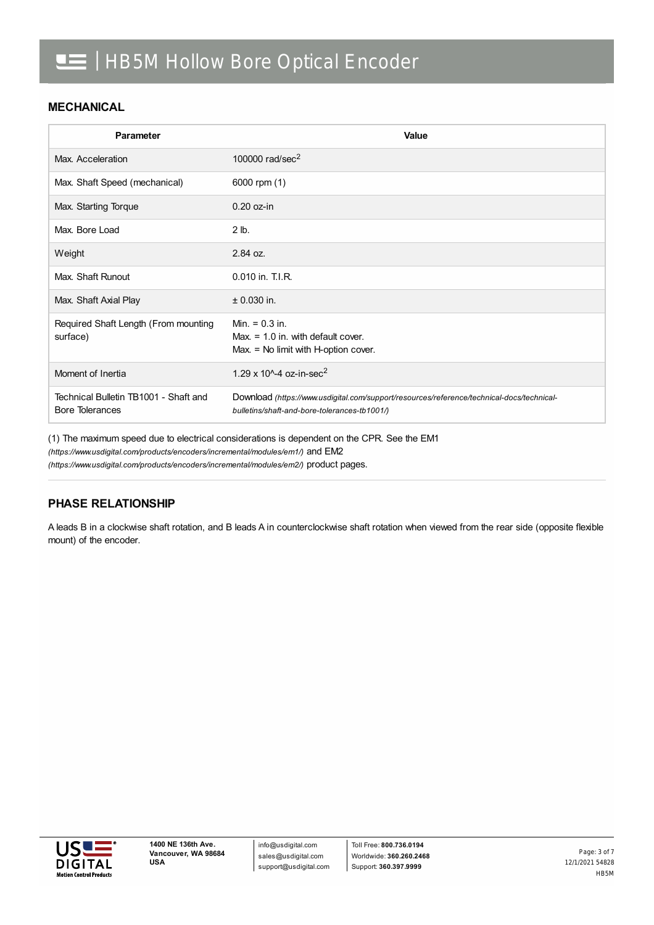#### **MECHANICAL**

| Parameter                                                       | Value                                                                                                                                     |
|-----------------------------------------------------------------|-------------------------------------------------------------------------------------------------------------------------------------------|
| Max. Acceleration                                               | 100000 rad/sec <sup>2</sup>                                                                                                               |
| Max. Shaft Speed (mechanical)                                   | 6000 rpm (1)                                                                                                                              |
| Max. Starting Torque                                            | $0.20$ oz-in                                                                                                                              |
| Max. Bore Load                                                  | $2$ lb.                                                                                                                                   |
| Weight                                                          | 2.84 oz.                                                                                                                                  |
| Max. Shaft Runout                                               | 0.010 in. T.I.R.                                                                                                                          |
| Max. Shaft Axial Play                                           | $± 0.030$ in.                                                                                                                             |
| Required Shaft Length (From mounting<br>surface)                | Min. $= 0.3$ in.<br>Max. $= 1.0$ in. with default cover.<br>$Max = No$ limit with H-option cover.                                         |
| Moment of Inertia                                               | 1.29 x 10 <sup><math>\text{A}</math></sup> -4 oz-in-sec <sup>2</sup>                                                                      |
| Technical Bulletin TB1001 - Shaft and<br><b>Bore Tolerances</b> | Download (https://www.usdigital.com/support/resources/reference/technical-docs/technical-<br>bulletins/shaft-and-bore-tolerances-tb1001/) |

(1) The maximum speed due to electrical considerations is dependent on the CPR. See the EM1

*(https://www.usdigital.com/products/encoders/incremental/modules/em1/)* and EM2

*(https://www.usdigital.com/products/encoders/incremental/modules/em2/)* product pages.

#### **PHASE RELATIONSHIP**

A leads B in a clockwise shaft rotation, and B leads A in counterclockwise shaft rotation when viewed from the rear side (opposite flexible mount) of the encoder.

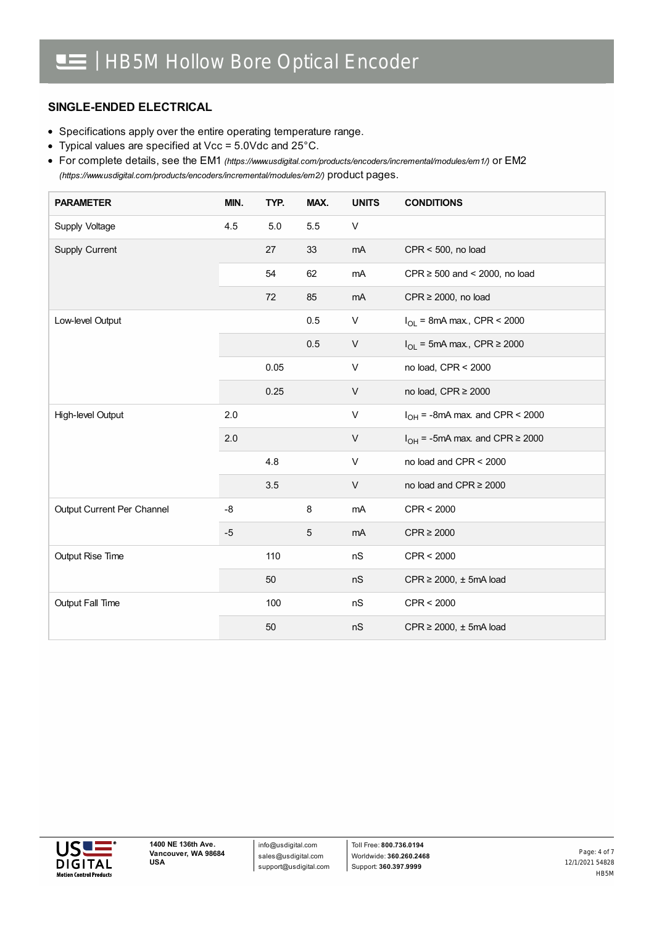#### **SINGLE-ENDED ELECTRICAL**

- Specifications apply over the entire operating temperature range.
- Typical values are specified at Vcc = 5.0Vdc and 25°C.

For complete details, see the EM1 *[\(https://www.usdigital.com/products/encoders/incremental/modules/em1/\)](https://www.usdigital.com/products/encoders/incremental/modules/em1/)* or EM2 *(https://www.usdigital.com/products/encoders/incremental/modules/em2/)* product pages.

| <b>PARAMETER</b>           | MIN. | TYP. | MAX. | <b>UNITS</b> | <b>CONDITIONS</b>                        |
|----------------------------|------|------|------|--------------|------------------------------------------|
| Supply Voltage             | 4.5  | 5.0  | 5.5  | V            |                                          |
| Supply Current             |      | 27   | 33   | mA           | $CPR < 500$ , no load                    |
|                            |      | 54   | 62   | mA           | CPR $\geq$ 500 and < 2000, no load       |
|                            |      | 72   | 85   | mA           | $CPR \ge 2000$ , no load                 |
| Low-level Output           |      |      | 0.5  | V            | $I_{OL}$ = 8mA max., CPR < 2000          |
|                            |      |      | 0.5  | V            | $I_{OL}$ = 5mA max., CPR $\geq$ 2000     |
|                            |      | 0.05 |      | V            | no load, CPR < 2000                      |
|                            |      | 0.25 |      | $\mathsf{V}$ | no load, CPR ≥ 2000                      |
| High-level Output          | 2.0  |      |      | V            | $I_{OH}$ = -8mA max. and CPR < 2000      |
|                            | 2.0  |      |      | $\mathsf{V}$ | $I_{OH}$ = -5mA max. and CPR $\geq$ 2000 |
|                            |      | 4.8  |      | V            | no load and CPR < 2000                   |
|                            |      | 3.5  |      | V            | no load and CPR ≥ 2000                   |
| Output Current Per Channel | -8   |      | 8    | mA           | CPR < 2000                               |
|                            | $-5$ |      | 5    | mA           | $CPR \ge 2000$                           |
| Output Rise Time           |      | 110  |      | nS           | CPR < 2000                               |
|                            |      | 50   |      | nS           | $CPR \ge 2000$ , $\pm$ 5mA load          |
| Output Fall Time           |      | 100  |      | nS           | CPR < 2000                               |
|                            |      | 50   |      | nS           | $CPR \ge 2000$ , $\pm$ 5mA load          |

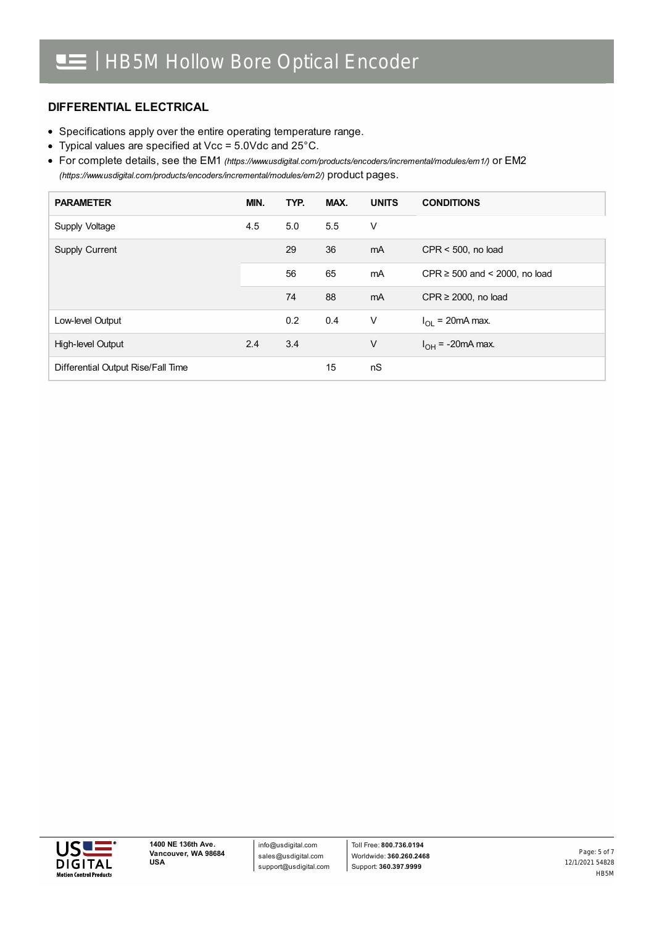#### **DIFFERENTIAL ELECTRICAL**

- Specifications apply over the entire operating temperature range.
- Typical values are specified at Vcc = 5.0Vdc and 25°C.

For complete details, see the EM1 *[\(https://www.usdigital.com/products/encoders/incremental/modules/em1/\)](https://www.usdigital.com/products/encoders/incremental/modules/em1/)* or EM2 *(https://www.usdigital.com/products/encoders/incremental/modules/em2/)* product pages.

| <b>PARAMETER</b>                   | MIN. | TYP. | MAX. | <b>UNITS</b> | <b>CONDITIONS</b>                  |
|------------------------------------|------|------|------|--------------|------------------------------------|
| Supply Voltage                     | 4.5  | 5.0  | 5.5  | V            |                                    |
| Supply Current                     |      | 29   | 36   | mA           | $CPR < 500$ , no load              |
|                                    |      | 56   | 65   | mA           | CPR $\geq$ 500 and < 2000, no load |
|                                    |      | 74   | 88   | mA           | CPR $\geq$ 2000, no load           |
| Low-level Output                   |      | 0.2  | 0.4  | V            | $I_{\Omega}$ = 20mA max.           |
| High-level Output                  | 2.4  | 3.4  |      | $\vee$       | $I_{OH}$ = -20mA max.              |
| Differential Output Rise/Fall Time |      |      | 15   | nS           |                                    |



12/1/2021 54828 HB5M Page: 5 of 7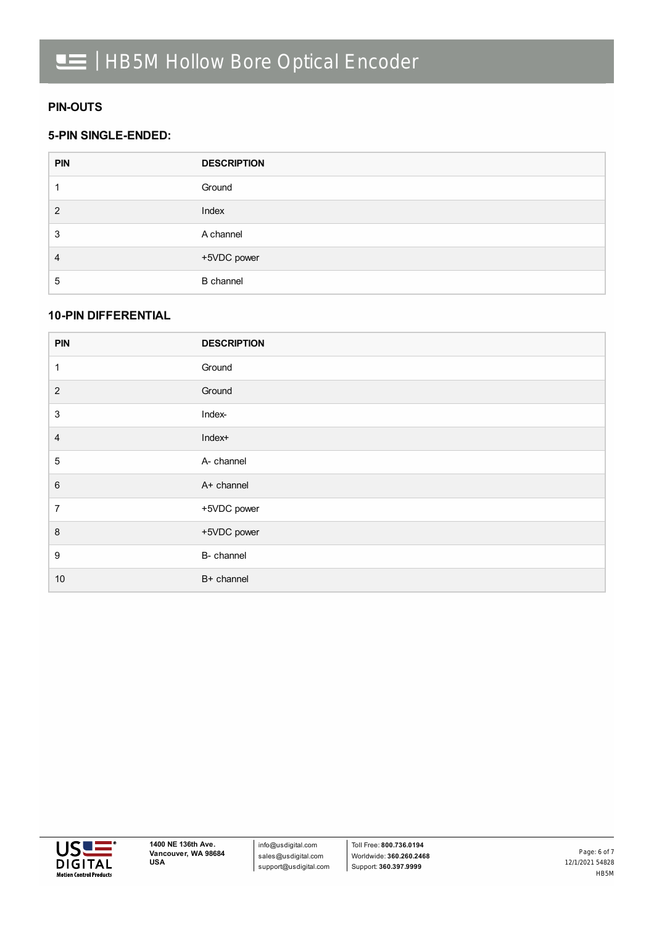#### **PIN-OUTS**

#### **5-PIN SINGLE-ENDED:**

| <b>PIN</b> | <b>DESCRIPTION</b> |
|------------|--------------------|
|            | Ground             |
| 2          | Index              |
| 3          | A channel          |
| 4          | +5VDC power        |
| 5          | <b>B</b> channel   |

#### **10-PIN DIFFERENTIAL**

| <b>PIN</b>     | <b>DESCRIPTION</b> |
|----------------|--------------------|
| 1              | Ground             |
| $\overline{2}$ | Ground             |
| $\sqrt{3}$     | Index-             |
| $\overline{4}$ | Index+             |
| $\sqrt{5}$     | A- channel         |
| $\,6\,$        | A+ channel         |
| $\overline{7}$ | +5VDC power        |
| $\,8\,$        | +5VDC power        |
| $9$            | B- channel         |
| $10$           | B+ channel         |